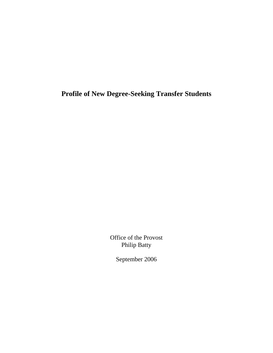**Profile of New Degree-Seeking Transfer Students** 

Office of the Provost Philip Batty

September 2006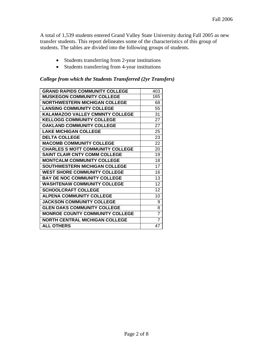A total of 1,539 students entered Grand Valley State University during Fall 2005 as new transfer students. This report delineates some of the characteristics of this group of students. The tables are divided into the following groups of students.

- Students transferring from 2-year institutions
- Students transferring from 4-year institutions

#### *College from which the Students Transferred (2yr Transfers)*

| <b>GRAND RAPIDS COMMUNITY COLLEGE</b>   | 403 |
|-----------------------------------------|-----|
| <b>MUSKEGON COMMUNITY COLLEGE</b>       | 165 |
| <b>NORTHWESTERN MICHIGAN COLLEGE</b>    | 68  |
| <b>LANSING COMMUNITY COLLEGE</b>        | 55  |
| KALAMAZOO VALLEY CMMNTY COLLEGE         | 31  |
| <b>KELLOGG COMMUNITY COLLEGE</b>        | 27  |
| <b>OAKLAND COMMUNITY COLLEGE</b>        | 27  |
| <b>LAKE MICHIGAN COLLEGE</b>            | 25  |
| <b>DELTA COLLEGE</b>                    | 23  |
| <b>MACOMB COMMUNITY COLLEGE</b>         | 22  |
| <b>CHARLES S MOTT COMMUNITY COLLEGE</b> | 20  |
| <b>SAINT CLAIR CNTY COMM COLLEGE</b>    | 19  |
| <b>MONTCALM COMMUNITY COLLEGE</b>       | 18  |
| <b>SOUTHWESTERN MICHIGAN COLLEGE</b>    | 17  |
| <b>WEST SHORE COMMUNITY COLLEGE</b>     | 16  |
| <b>BAY DE NOC COMMUNITY COLLEGE</b>     | 13  |
| <b>WASHTENAW COMMUNITY COLLEGE</b>      | 12  |
| <b>SCHOOLCRAFT COLLEGE</b>              | 12  |
| <b>ALPENA COMMUNITY COLLEGE</b>         | 10  |
| <b>JACKSON COMMUNITY COLLEGE</b>        | 9   |
| <b>GLEN OAKS COMMUNITY COLLEGE</b>      | 8   |
| <b>MONROE COUNTY COMMUNITY COLLEGE</b>  | 7   |
| <b>NORTH CENTRAL MICHIGAN COLLEGE</b>   | 7   |
| <b>ALL OTHERS</b>                       | 47  |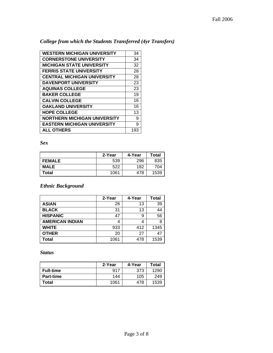## *College from which the Students Transferred (4yr Transfers)*

| <b>WESTERN MICHIGAN UNIVERSITY</b>  | 34  |
|-------------------------------------|-----|
| <b>CORNERSTONE UNIVERSITY</b>       | 34  |
| <b>MICHIGAN STATE UNIVERSITY</b>    | 32  |
| <b>FERRIS STATE UNIVERSITY</b>      | 28  |
| <b>CENTRAL MICHIGAN UNIVERSITY</b>  | 28  |
| <b>DAVENPORT UNIVERSITY</b>         | 23  |
| <b>AQUINAS COLLEGE</b>              | 23  |
| <b>BAKER COLLEGE</b>                | 19  |
| <b>CALVIN COLLEGE</b>               | 16  |
| <b>OAKLAND UNIVERSITY</b>           | 16  |
| <b>HOPE COLLEGE</b>                 | 13  |
| <b>NORTHERN MICHIGAN UNIVERSITY</b> | 9   |
| <b>EASTERN MICHIGAN UNIVERSITY</b>  | 9   |
| <b>ALL OTHERS</b>                   | 193 |

*Sex* 

|               | 2-Year | 4-Year | Total |
|---------------|--------|--------|-------|
| <b>FEMALE</b> | 539    | 296    | 835   |
| <b>MALE</b>   | 522    | 182    | 704   |
| Total         | 1061   | 478    | 1539  |

### *Ethnic Background*

|                        | 2-Year | 4-Year | <b>Total</b> |
|------------------------|--------|--------|--------------|
| <b>ASIAN</b>           | 26     | 13     | 39           |
| <b>BLACK</b>           | 31     | 13     | 44           |
| <b>HISPANIC</b>        | 47     | 9      | 56           |
| <b>AMERICAN INDIAN</b> |        | 4      |              |
| <b>WHITE</b>           | 933    | 412    | 1345         |
| <b>OTHER</b>           | 20     | 27     | 47           |
| Total                  | 1061   | 478    | 1539         |

*Status* 

|                  | 2-Year | 4-Year | Total |
|------------------|--------|--------|-------|
| <b>Full-time</b> | 917    | 373    | 1290  |
| <b>Part-time</b> | 144    | 105    | 249   |
| Total            | 1061   | 478    | 1539  |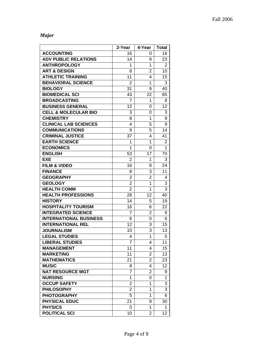# *Major*

|                                 | 2-Year         | 4-Year         | Total          |
|---------------------------------|----------------|----------------|----------------|
| <b>ACCOUNTING</b>               | 16             | 0              | 16             |
| <b>ADV PUBLIC RELATIONS</b>     | 14             | 9              | 23             |
| <b>ANTHROPOLOGY</b>             | 1              | 1              | $\overline{2}$ |
| <b>ART &amp; DESIGN</b>         | 8              | $\overline{2}$ | 10             |
| <b>ATHLETIC TRAINING</b>        | 11             | 4              | 15             |
| <b>BEHAVIORAL SCIENCE</b>       | $\overline{2}$ | 1              | 3              |
| <b>BIOLOGY</b>                  | 31             | 9              | 40             |
| <b>BIOMEDICAL SCI</b>           | 43             | 22             | 65             |
| <b>BROADCASTING</b>             | 7              | 1              | 8              |
| <b>BUSINESS GENERAL</b>         | 12             | 0              | 12             |
| <b>CELL &amp; MOLECULAR BIO</b> | 3              | 0              | 3              |
| <b>CHEMISTRY</b>                | 8              | 1              | 9              |
| <b>CLINICAL LAB SCIENCES</b>    | 4              | 5              | 9              |
| <b>COMMUNICATIONS</b>           | 9              | 5              | 14             |
| <b>CRIMINAL JUSTICE</b>         | 37             | 4              | 41             |
| <b>EARTH SCIENCE</b>            | 1              | 1              | $\overline{c}$ |
| <b>ECONOMICS</b>                | 1              | 0              | 1              |
| <b>ENGLISH</b>                  | 53             | 17             | 70             |
| <b>EXE</b>                      | $\overline{2}$ | 1              | 3              |
| <b>FILM &amp; VIDEO</b>         | 16             | 8              | 24             |
| <b>FINANCE</b>                  | 8              | 3              | 11             |
| <b>GEOGRAPHY</b>                | $\overline{2}$ | $\overline{2}$ | 4              |
| <b>GEOLOGY</b>                  | $\overline{2}$ | 1              | 3              |
| <b>HEALTH COMM</b>              | $\overline{2}$ | 1              | 3              |
| <b>HEALTH PROFESSIONS</b>       | 28             | 12             | 40             |
| <b>HISTORY</b>                  | 14             | 5              | 19             |
| <b>HOSPITALITY TOURISM</b>      | 16             | 6              | 22             |
| <b>INTEGRATED SCIENCE</b>       | 7              | $\overline{2}$ | 9              |
| <b>INTERNATIONAL BUSINESS</b>   | 6              | 0              | 6              |
| <b>INTERNATIONAL REL</b>        | 12             | 3              | 15             |
| <b>JOURNALISM</b>               | 10             | 3              | 13             |
| <b>LEGAL STUDIES</b>            | 4              | 1              | 5              |
| <b>LIBERAL STUDIES</b>          | $\overline{7}$ | 4              | 11             |
| <b>MANAGEMENT</b>               | 11             | 4              | 15             |
| <b>MARKETING</b>                | 11             | 2              | 13             |
| <b>MATHEMATICS</b>              | 21             | 2              | 23             |
| <b>MUSIC</b>                    | 8              | 4              | 12             |
| <b>NAT RESOURCE MGT</b>         | 7              | 2              | 9              |
| <b>NURSING</b>                  | 1              | 0              | 1              |
| <b>OCCUP SAFETY</b>             | $\overline{2}$ | 1              | 3              |
| <b>PHILOSOPHY</b>               | 2              | 1              | 3              |
| <b>PHOTOGRAPHY</b>              | 5              | 1              | 6              |
| <b>PHYSICAL EDUC</b>            | 21             | 9              | 30             |
| <b>PHYSICS</b>                  | 0              | 1              | 1              |
| <b>POLITICAL SCI</b>            | 10             | $\overline{2}$ | 12             |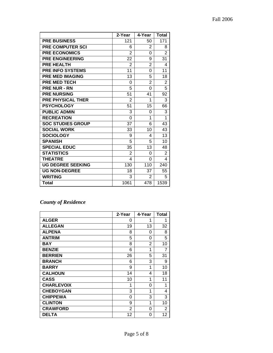|                          | 2-Year         | 4-Year         | <b>Total</b>   |
|--------------------------|----------------|----------------|----------------|
| <b>PRE BUSINESS</b>      | 121            | 50             | 171            |
| <b>PRE COMPUTER SCI</b>  | 6              | 2              | 8              |
| <b>PRE ECONOMICS</b>     | 2              | 0              | $\overline{2}$ |
| <b>PRE ENGINEERING</b>   | 22             | 9              | 31             |
| <b>PRE HEALTH</b>        | 2              | $\overline{2}$ | 4              |
| <b>PRE INFO SYSTEMS</b>  | 11             | 0              | 11             |
| <b>PRE MED IMAGING</b>   | 13             | 5              | 18             |
| <b>PRE MED TECH</b>      | 0              | 2              | $\overline{2}$ |
| <b>PRE NUR - RN</b>      | 5              | 0              | $\overline{5}$ |
| <b>PRE NURSING</b>       | 51             | 41             | 92             |
| <b>PRE PHYSICAL THER</b> | $\overline{2}$ | 1              | 3              |
| <b>PSYCHOLOGY</b>        | 51             | 15             | 66             |
| <b>PUBLIC ADMIN</b>      | 3              | 0              | 3              |
| <b>RECREATION</b>        | 0              | 1              | 1              |
| <b>SOC STUDIES GROUP</b> | 37             | 6              | 43             |
| <b>SOCIAL WORK</b>       | 33             | 10             | 43             |
| <b>SOCIOLOGY</b>         | 9              | 4              | 13             |
| <b>SPANISH</b>           | 5              | 5              | 10             |
| <b>SPECIAL EDUC</b>      | 35             | 13             | 48             |
| <b>STATISTICS</b>        | 2              | 0              | $\overline{2}$ |
| <b>THEATRE</b>           | 4              | 0              | 4              |
| <b>UG DEGREE SEEKING</b> | 130            | 110            | 240            |
| <b>UG NON-DEGREE</b>     | 18             | 37             | 55             |
| <b>WRITING</b>           | 3              | 2              | 5              |
| <b>Total</b>             | 1061           | 478            | 1539           |

# *County of Residence*

|                   | 2-Year | 4-Year | <b>Total</b> |
|-------------------|--------|--------|--------------|
| <b>ALGER</b>      | 0      | 1      | 1            |
| <b>ALLEGAN</b>    | 19     | 13     | 32           |
| <b>ALPENA</b>     | 8      | 0      | 8            |
| <b>ANTRIM</b>     | 5      | 0      | 5            |
| <b>BAY</b>        | 8      | 2      | 10           |
| <b>BENZIE</b>     | 6      | 1      | 7            |
| <b>BERRIEN</b>    | 26     | 5      | 31           |
| <b>BRANCH</b>     | 6      | 3      | 9            |
| <b>BARRY</b>      | 9      | 1      | 10           |
| <b>CALHOUN</b>    | 14     | 4      | 18           |
| <b>CASS</b>       | 10     | 1      | 11           |
| <b>CHARLEVOIX</b> | 1      | 0      | 1            |
| <b>CHEBOYGAN</b>  | 3      | 1      | 4            |
| <b>CHIPPEWA</b>   | 0      | 3      | 3            |
| <b>CLINTON</b>    | 9      | 1      | 10           |
| <b>CRAWFORD</b>   | 2      | 0      | 2            |
| <b>DELTA</b>      | 12     | 0      | 12           |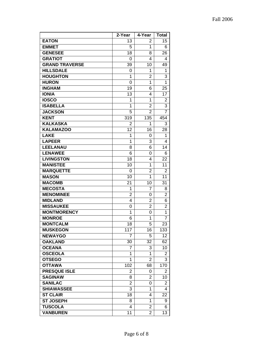|                       | 2-Year         | 4-Year         | <b>Total</b>   |
|-----------------------|----------------|----------------|----------------|
| <b>EATON</b>          | 13             | 2              | 15             |
| <b>EMMET</b>          | 5              | 1              | 6              |
| <b>GENESEE</b>        | 18             | 8              | 26             |
| <b>GRATIOT</b>        | 0              | 4              | 4              |
| <b>GRAND TRAVERSE</b> | 39             | 10             | 49             |
| <b>HILLSDALE</b>      | 0              | 1              | 1              |
| <b>HOUGHTON</b>       | 1              | $\overline{2}$ | 3              |
| <b>HURON</b>          | 0              | 1              | 1              |
| <b>INGHAM</b>         | 19             | 6              | 25             |
| <b>IONIA</b>          | 13             | 4              | 17             |
| <b>IOSCO</b>          | 1              | 1              | 2              |
| <b>ISABELLA</b>       | 1              | $\overline{2}$ | 3              |
| <b>JACKSON</b>        | 5              | $\overline{2}$ | $\overline{7}$ |
| <b>KENT</b>           | 319            | 135            | 454            |
| <b>KALKASKA</b>       | 2              | 1              | 3              |
| <b>KALAMAZOO</b>      | 12             | 16             | 28             |
| <b>LAKE</b>           | 1              | 0              | 1              |
| <b>LAPEER</b>         | 1              | 3              | 4              |
| <b>LEELANAU</b>       | 8              | 6              | 14             |
| <b>LENAWEE</b>        | 6              | 0              | 6              |
| <b>LIVINGSTON</b>     | 18             | 4              | 22             |
| <b>MANISTEE</b>       | 10             | 1              | 11             |
| <b>MARQUETTE</b>      | 0              | $\overline{2}$ | $\overline{2}$ |
| <b>MASON</b>          | 10             | $\overline{1}$ | 11             |
| <b>MACOMB</b>         | 21             | 10             | 31             |
| <b>MECOSTA</b>        | 1              | 7              | 8              |
| <b>MENOMINEE</b>      | $\overline{2}$ | 0              | $\overline{2}$ |
| <b>MIDLAND</b>        | 4              | $\overline{2}$ | 6              |
| <b>MISSAUKEE</b>      | 0              | $\overline{2}$ | $\overline{c}$ |
| <b>MONTMORENCY</b>    | 1              | 0              | 1              |
| <b>MONROE</b>         | 6              | 1              | $\overline{7}$ |
| <b>MONTCALM</b>       | 18             | 5              | 23             |
| <b>MUSKEGON</b>       | 117            | 16             | 133            |
| <b>NEWAYGO</b>        | 7              | 5              | 12             |
| <b>OAKLAND</b>        | 30             | 32             | 62             |
| <b>OCEANA</b>         | 7              | 3              | 10             |
| <b>OSCEOLA</b>        | 1              | 1              | 2              |
| <b>OTSEGO</b>         | 1              | $\overline{2}$ | 3              |
| <b>OTTAWA</b>         | 102            | 68             | 170            |
| <b>PRESQUE ISLE</b>   | $\overline{2}$ | 0              | $\overline{2}$ |
| <b>SAGINAW</b>        | 8              | $\overline{2}$ | 10             |
| <b>SANILAC</b>        | 2              | 0              | 2              |
| <b>SHIAWASSEE</b>     | 3              | 1              | 4              |
| <b>ST CLAIR</b>       | 18             | 4              | 22             |
| <b>ST JOSEPH</b>      | 8              | 1              | 9              |
| <b>TUSCOLA</b>        | 4              | $\overline{2}$ | 6              |
| <b>VANBUREN</b>       | 11             | $\overline{2}$ | 13             |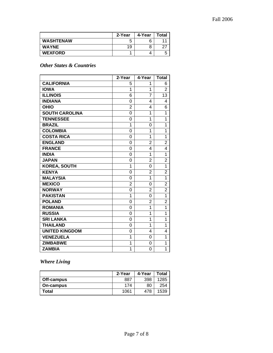|                  | 2-Year | 4-Year | Total |
|------------------|--------|--------|-------|
| <b>WASHTENAW</b> | b      | 6      |       |
| <b>WAYNE</b>     | 19     | 8      |       |
| <b>WEXFORD</b>   |        |        |       |

### *Other States & Countries*

|                       | 2-Year         | 4-Year         | <b>Total</b>   |
|-----------------------|----------------|----------------|----------------|
| <b>CALIFORNIA</b>     | 5              | 1              | 6              |
| <b>IOWA</b>           | 1              | 1              | $\overline{2}$ |
| <b>ILLINOIS</b>       | 6              | $\overline{7}$ | 13             |
| <b>INDIANA</b>        | 0              | 4              | 4              |
| <b>OHIO</b>           | $\overline{2}$ | 4              | 6              |
| <b>SOUTH CAROLINA</b> | 0              | 1              | 1              |
| <b>TENNESSEE</b>      | 0              | 1              | 1              |
| <b>BRAZIL</b>         | 1              | 0              | 1              |
| <b>COLOMBIA</b>       | 0              | 1              | 1              |
| <b>COSTA RICA</b>     | 0              | $\overline{1}$ | $\overline{1}$ |
| <b>ENGLAND</b>        | 0              | $\overline{2}$ | $\overline{2}$ |
| <b>FRANCE</b>         | 0              | 4              | 4              |
| <b>INDIA</b>          | 0              | 1              | 1              |
| <b>JAPAN</b>          | 0              | 2              | $\overline{2}$ |
| <b>KOREA, SOUTH</b>   | 1              | 0              | $\overline{1}$ |
| <b>KENYA</b>          | 0              | $\overline{2}$ | $\overline{2}$ |
| <b>MALAYSIA</b>       | 0              | 1              | $\overline{1}$ |
| <b>MEXICO</b>         | $\overline{2}$ | 0              | $\overline{2}$ |
| <b>NORWAY</b>         | 0              | 2              | $\overline{2}$ |
| <b>PAKISTAN</b>       | 1              | 0              | $\overline{1}$ |
| <b>POLAND</b>         | 0              | 2              | $\overline{2}$ |
| <b>ROMANIA</b>        | 0              | 1              | 1              |
| <b>RUSSIA</b>         | 0              | 1              | 1              |
| <b>SRI LANKA</b>      | 0              | 1              | 1              |
| <b>THAILAND</b>       | 0              | 1              | 1              |
| <b>UNITED KINGDOM</b> | 0              | 4              | 4              |
| <b>VENEZUELA</b>      | 1              | 0              | 1              |
| <b>ZIMBABWE</b>       | 1              | 0              | 1              |
| <b>ZAMBIA</b>         | $\overline{1}$ | 0              | $\overline{1}$ |

*Where Living* 

|            | 2-Year | 4-Year | Total |
|------------|--------|--------|-------|
| Off-campus | 887    | 398    | 1285  |
| On-campus  | 174    | 80     | 254   |
| Total      | 1061   | 478    | 1539  |